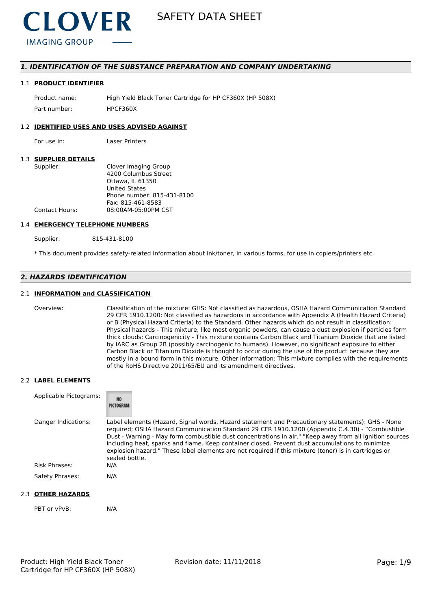

# *1. IDENTIFICATION OF THE SUBSTANCE PREPARATION AND COMPANY UNDERTAKING*

#### 1.1 **PRODUCT IDENTIFIER**

Product name: High Yield Black Toner Cartridge for HP CF360X (HP 508X) Part number: HPCF360X

### 1.2 **IDENTIFIED USES AND USES ADVISED AGAINST**

For use in: Laser Printers

### 1.3 **SUPPLIER DETAILS**

| Supplier:      | Clover Imaging Group       |
|----------------|----------------------------|
|                | 4200 Columbus Street       |
|                | Ottawa. IL 61350           |
|                | <b>United States</b>       |
|                | Phone number: 815-431-8100 |
|                | Fax: 815-461-8583          |
| Contact Hours: | 08:00AM-05:00PM CST        |
|                |                            |

#### 1.4 **EMERGENCY TELEPHONE NUMBERS**

Supplier: 815-431-8100

\* This document provides safety-related information about ink/toner, in various forms, for use in copiers/printers etc.

# *2. HAZARDS IDENTIFICATION*

# 2.1 **INFORMATION and CLASSIFICATION**

Overview: Classification of the mixture: GHS: Not classified as hazardous, OSHA Hazard Communication Standard 29 CFR 1910.1200: Not classified as hazardous in accordance with Appendix A (Health Hazard Criteria) or B (Physical Hazard Criteria) to the Standard. Other hazards which do not result in classification: Physical hazards - This mixture, like most organic powders, can cause a dust explosion if particles form thick clouds; Carcinogenicity - This mixture contains Carbon Black and Titanium Dioxide that are listed by IARC as Group 2B (possibly carcinogenic to humans). However, no significant exposure to either Carbon Black or Titanium Dioxide is thought to occur during the use of the product because they are mostly in a bound form in this mixture. Other information: This mixture complies with the requirements of the RoHS Directive 2011/65/EU and its amendment directives.

#### 2.2 **LABEL ELEMENTS**

| Applicable Pictograms: | <b>NO</b><br>PICTOGRAM                                                                                                                                                                                                                                                                                                                                                                                                                                                                                                                     |
|------------------------|--------------------------------------------------------------------------------------------------------------------------------------------------------------------------------------------------------------------------------------------------------------------------------------------------------------------------------------------------------------------------------------------------------------------------------------------------------------------------------------------------------------------------------------------|
| Danger Indications:    | Label elements (Hazard, Signal words, Hazard statement and Precautionary statements): GHS - None<br>required; OSHA Hazard Communication Standard 29 CFR 1910.1200 (Appendix C.4.30) - "Combustible<br>Dust - Warning - May form combustible dust concentrations in air." "Keep away from all ignition sources<br>including heat, sparks and flame. Keep container closed. Prevent dust accumulations to minimize<br>explosion hazard." These label elements are not required if this mixture (toner) is in cartridges or<br>sealed bottle. |
| <b>Risk Phrases:</b>   | N/A                                                                                                                                                                                                                                                                                                                                                                                                                                                                                                                                        |
| Safety Phrases:        | N/A                                                                                                                                                                                                                                                                                                                                                                                                                                                                                                                                        |

# 2.3 **OTHER HAZARDS**

PBT or vPvB: N/A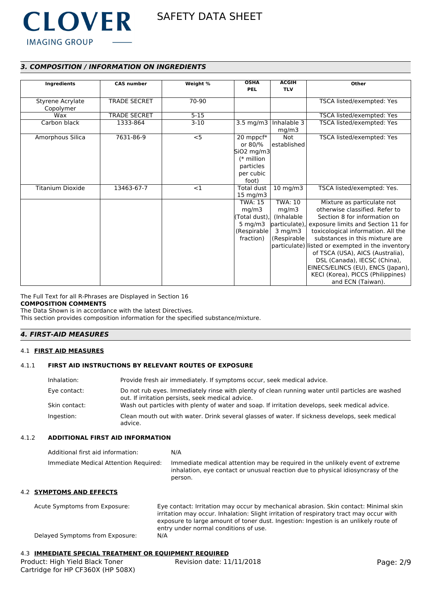

# *3. COMPOSITION / INFORMATION ON INGREDIENTS*

| Ingredients             | <b>CAS number</b>   | Weight % | <b>OSHA</b>                 | <b>ACGIH</b>   | Other                                            |
|-------------------------|---------------------|----------|-----------------------------|----------------|--------------------------------------------------|
|                         |                     |          | <b>PEL</b>                  | <b>TLV</b>     |                                                  |
|                         |                     |          |                             |                |                                                  |
| Styrene Acrylate        | <b>TRADE SECRET</b> | 70-90    |                             |                | TSCA listed/exempted: Yes                        |
| Copolymer               |                     |          |                             |                |                                                  |
| Wax                     | <b>TRADE SECRET</b> | $5 - 15$ |                             |                | TSCA listed/exempted: Yes                        |
| Carbon black            | 1333-864            | $3-10$   | 3.5 mg/m3                   | Inhalable 3    | TSCA listed/exempted: Yes                        |
|                         |                     |          |                             | mq/m3          |                                                  |
| Amorphous Silica        | 7631-86-9           | $<$ 5    | 20 mppcf*                   | <b>Not</b>     | TSCA listed/exempted: Yes                        |
|                         |                     |          | or 80/%                     | established    |                                                  |
|                         |                     |          | $\left  5iO2 \right $ mg/m3 |                |                                                  |
|                         |                     |          | $(*$ million                |                |                                                  |
|                         |                     |          | particles                   |                |                                                  |
|                         |                     |          | per cubic                   |                |                                                  |
|                         |                     |          | foot)                       |                |                                                  |
| <b>Titanium Dioxide</b> | 13463-67-7          | <1       | <b>Total dust</b>           | $10$ mg/m $3$  | TSCA listed/exempted: Yes.                       |
|                         |                     |          | $15 \text{ mg/m}$           |                |                                                  |
|                         |                     |          | <b>TWA: 15</b>              | <b>TWA: 10</b> | Mixture as particulate not                       |
|                         |                     |          | mg/m3                       | mg/m3          | otherwise classified. Refer to                   |
|                         |                     |          | (Total dust),               | (Inhalable     | Section 8 for information on                     |
|                         |                     |          | 5 mg/m $3$                  | particulate),  | exposure limits and Section 11 for               |
|                         |                     |          | (Respirable)                | $3$ mg/m $3$   | toxicological information. All the               |
|                         |                     |          | fraction)                   | (Respirable    | substances in this mixture are                   |
|                         |                     |          |                             |                | particulate) listed or exempted in the inventory |
|                         |                     |          |                             |                | of TSCA (USA), AICS (Australia),                 |
|                         |                     |          |                             |                | DSL (Canada), IECSC (China),                     |
|                         |                     |          |                             |                | EINECS/ELINCS (EU), ENCS (Japan),                |
|                         |                     |          |                             |                | KECI (Korea), PICCS (Philippines)                |
|                         |                     |          |                             |                | and ECN (Taiwan).                                |

#### The Full Text for all R-Phrases are Displayed in Section 16 **COMPOSITION COMMENTS**

The Data Shown is in accordance with the latest Directives.

This section provides composition information for the specified substance/mixture.

# *4. FIRST-AID MEASURES*

### 4.1 **FIRST AID MEASURES**

# 4.1.1 **FIRST AID INSTRUCTIONS BY RELEVANT ROUTES OF EXPOSURE**

| Inhalation:   | Provide fresh air immediately. If symptoms occur, seek medical advice.                                                                                |
|---------------|-------------------------------------------------------------------------------------------------------------------------------------------------------|
| Eye contact:  | Do not rub eyes. Immediately rinse with plenty of clean running water until particles are washed<br>out. If irritation persists, seek medical advice. |
| Skin contact: | Wash out particles with plenty of water and soap. If irritation develops, seek medical advice.                                                        |
| Ingestion:    | Clean mouth out with water. Drink several glasses of water. If sickness develops, seek medical<br>advice.                                             |

# 4.1.2 **ADDITIONAL FIRST AID INFORMATION**

| Additional first aid information:     | N/A                                                                                                                                                                        |
|---------------------------------------|----------------------------------------------------------------------------------------------------------------------------------------------------------------------------|
| Immediate Medical Attention Required: | Immediate medical attention may be required in the unlikely event of extreme<br>inhalation, eye contact or unusual reaction due to physical idiosyncrasy of the<br>person. |

# 4.2 **SYMPTOMS AND EFFECTS**

| Acute Symptoms from Exposure:   | Eye contact: Irritation may occur by mechanical abrasion. Skin contact: Minimal skin<br>irritation may occur. Inhalation: Slight irritation of respiratory tract may occur with |
|---------------------------------|---------------------------------------------------------------------------------------------------------------------------------------------------------------------------------|
|                                 | exposure to large amount of toner dust. Ingestion: Ingestion is an unlikely route of<br>entry under normal conditions of use.                                                   |
| Delayed Symptoms from Exposure: | N/A                                                                                                                                                                             |

# 4.3 **IMMEDIATE SPECIAL TREATMENT OR EQUIPMENT REQUIRED**

| Product: High Yield Black Toner   | Revision date: 11/11/2018 |
|-----------------------------------|---------------------------|
| Cartridge for HP CF360X (HP 508X) |                           |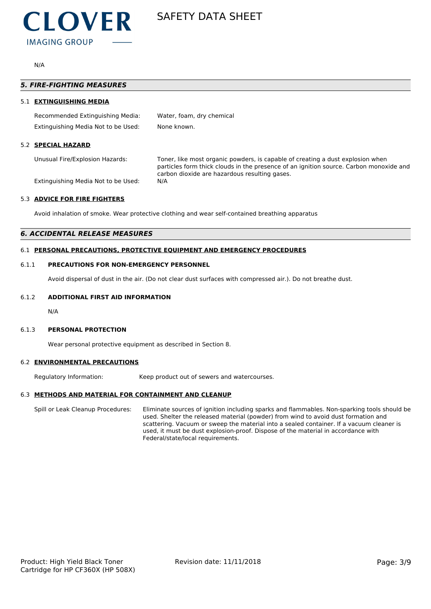

N/A

|     | <i><b>5. FIRE-FIGHTING MEASURES</b></i> |                                                                                                                                                                                                                           |  |  |
|-----|-----------------------------------------|---------------------------------------------------------------------------------------------------------------------------------------------------------------------------------------------------------------------------|--|--|
| 51. | <b>EXTINGUISHING MEDIA</b>              |                                                                                                                                                                                                                           |  |  |
|     | Recommended Extinguishing Media:        | Water, foam, dry chemical                                                                                                                                                                                                 |  |  |
|     | Extinguishing Media Not to be Used:     | None known.                                                                                                                                                                                                               |  |  |
|     | 5.2 SPECIAL HAZARD                      |                                                                                                                                                                                                                           |  |  |
|     | Unusual Fire/Explosion Hazards:         | Toner, like most organic powders, is capable of creating a dust explosion when<br>particles form thick clouds in the presence of an ignition source. Carbon monoxide and<br>carbon dioxide are hazardous resulting gases. |  |  |
|     | Extinguishing Media Not to be Used:     | N/A                                                                                                                                                                                                                       |  |  |

# 5.3 **ADVICE FOR FIRE FIGHTERS**

Avoid inhalation of smoke. Wear protective clothing and wear self-contained breathing apparatus

# *6. ACCIDENTAL RELEASE MEASURES*

# 6.1 **PERSONAL PRECAUTIONS, PROTECTIVE EQUIPMENT AND EMERGENCY PROCEDURES**

# 6.1.1 **PRECAUTIONS FOR NON-EMERGENCY PERSONNEL**

Avoid dispersal of dust in the air. (Do not clear dust surfaces with compressed air.). Do not breathe dust.

# 6.1.2 **ADDITIONAL FIRST AID INFORMATION**

N/A

# 6.1.3 **PERSONAL PROTECTION**

Wear personal protective equipment as described in Section 8.

# 6.2 **ENVIRONMENTAL PRECAUTIONS**

Regulatory Information: Keep product out of sewers and watercourses.

# 6.3 **METHODS AND MATERIAL FOR CONTAINMENT AND CLEANUP**

Spill or Leak Cleanup Procedures: Eliminate sources of ignition including sparks and flammables. Non-sparking tools should be used. Shelter the released material (powder) from wind to avoid dust formation and scattering. Vacuum or sweep the material into a sealed container. If a vacuum cleaner is used, it must be dust explosion-proof. Dispose of the material in accordance with Federal/state/local requirements.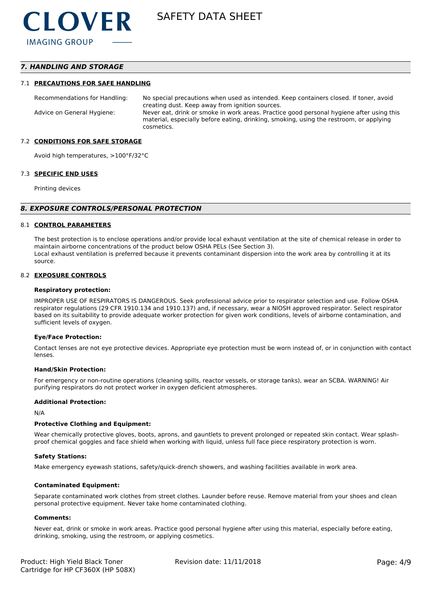# *7. HANDLING AND STORAGE*

#### 7.1 **PRECAUTIONS FOR SAFE HANDLING**

Recommendations for Handling: No special precautions when used as intended. Keep containers closed. If toner, avoid creating dust. Keep away from ignition sources. Advice on General Hygiene: Never eat, drink or smoke in work areas. Practice good personal hygiene after using this material, especially before eating, drinking, smoking, using the restroom, or applying cosmetics.

#### 7.2 **CONDITIONS FOR SAFE STORAGE**

Avoid high temperatures, >100°F/32°C

#### 7.3 **SPECIFIC END USES**

Printing devices

#### *8. EXPOSURE CONTROLS/PERSONAL PROTECTION*

#### 8.1 **CONTROL PARAMETERS**

The best protection is to enclose operations and/or provide local exhaust ventilation at the site of chemical release in order to maintain airborne concentrations of the product below OSHA PELs (See Section 3). Local exhaust ventilation is preferred because it prevents contaminant dispersion into the work area by controlling it at its source.

#### 8.2 **EXPOSURE CONTROLS**

#### **Respiratory protection:**

IMPROPER USE OF RESPIRATORS IS DANGEROUS. Seek professional advice prior to respirator selection and use. Follow OSHA respirator regulations (29 CFR 1910.134 and 1910.137) and, if necessary, wear a NIOSH approved respirator. Select respirator based on its suitability to provide adequate worker protection for given work conditions, levels of airborne contamination, and sufficient levels of oxygen.

#### **Eye/Face Protection:**

Contact lenses are not eye protective devices. Appropriate eye protection must be worn instead of, or in conjunction with contact lenses.

#### **Hand/Skin Protection:**

For emergency or non-routine operations (cleaning spills, reactor vessels, or storage tanks), wear an SCBA. WARNING! Air purifying respirators do not protect worker in oxygen deficient atmospheres.

#### **Additional Protection:**

N/A

#### **Protective Clothing and Equipment:**

Wear chemically protective gloves, boots, aprons, and gauntlets to prevent prolonged or repeated skin contact. Wear splashproof chemical goggles and face shield when working with liquid, unless full face piece respiratory protection is worn.

#### **Safety Stations:**

Make emergency eyewash stations, safety/quick-drench showers, and washing facilities available in work area.

#### **Contaminated Equipment:**

Separate contaminated work clothes from street clothes. Launder before reuse. Remove material from your shoes and clean personal protective equipment. Never take home contaminated clothing.

#### **Comments:**

Never eat, drink or smoke in work areas. Practice good personal hygiene after using this material, especially before eating, drinking, smoking, using the restroom, or applying cosmetics.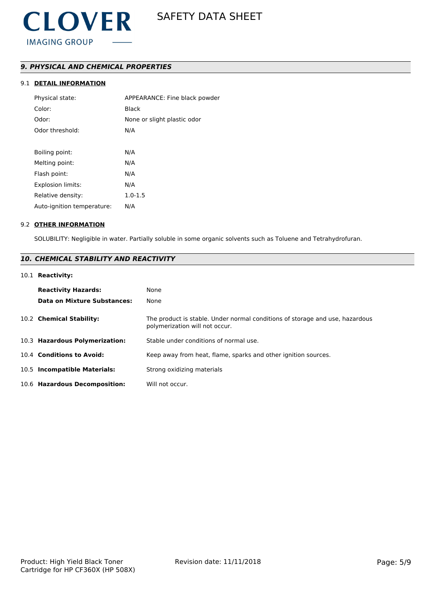# *9. PHYSICAL AND CHEMICAL PROPERTIES*

# 9.1 **DETAIL INFORMATION**

| Physical state:            | APPEARANCE: Fine black powder |
|----------------------------|-------------------------------|
| Color:                     | Black                         |
| Odor:                      | None or slight plastic odor   |
| Odor threshold:            | N/A                           |
|                            |                               |
| Boiling point:             | N/A                           |
| Melting point:             | N/A                           |
| Flash point:               | N/A                           |
| Explosion limits:          | N/A                           |
| Relative density:          | $1.0 - 1.5$                   |
| Auto-ignition temperature: | N/A                           |
|                            |                               |

#### 9.2 **OTHER INFORMATION**

SOLUBILITY: Negligible in water. Partially soluble in some organic solvents such as Toluene and Tetrahydrofuran.

# *10. CHEMICAL STABILITY AND REACTIVITY*

# 10.1 **Reactivity:**

| <b>Reactivity Hazards:</b><br>Data on Mixture Substances: | None<br>None                                                                                                   |
|-----------------------------------------------------------|----------------------------------------------------------------------------------------------------------------|
| 10.2 Chemical Stability:                                  | The product is stable. Under normal conditions of storage and use, hazardous<br>polymerization will not occur. |
| 10.3 Hazardous Polymerization:                            | Stable under conditions of normal use.                                                                         |
| 10.4 Conditions to Avoid:                                 | Keep away from heat, flame, sparks and other ignition sources.                                                 |
| 10.5 Incompatible Materials:                              | Strong oxidizing materials                                                                                     |
| 10.6 Hazardous Decomposition:                             | Will not occur.                                                                                                |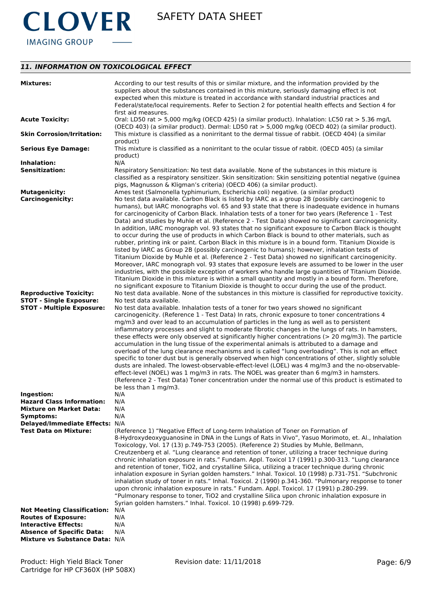

# *11. INFORMATION ON TOXICOLOGICAL EFFECT*

| <b>Mixtures:</b>                                                                                    | According to our test results of this or similar mixture, and the information provided by the<br>suppliers about the substances contained in this mixture, seriously damaging effect is not<br>expected when this mixture is treated in accordance with standard industrial practices and<br>Federal/state/local requirements. Refer to Section 2 for potential health effects and Section 4 for<br>first aid measures.                                                                                                                                                                                                                                                                                                                                                                                                                                                                                                                                                                                                                                                                                                                                                                                                                                                                                                                                                         |
|-----------------------------------------------------------------------------------------------------|---------------------------------------------------------------------------------------------------------------------------------------------------------------------------------------------------------------------------------------------------------------------------------------------------------------------------------------------------------------------------------------------------------------------------------------------------------------------------------------------------------------------------------------------------------------------------------------------------------------------------------------------------------------------------------------------------------------------------------------------------------------------------------------------------------------------------------------------------------------------------------------------------------------------------------------------------------------------------------------------------------------------------------------------------------------------------------------------------------------------------------------------------------------------------------------------------------------------------------------------------------------------------------------------------------------------------------------------------------------------------------|
| <b>Acute Toxicity:</b>                                                                              | Oral: LD50 rat > 5,000 mg/kg (OECD 425) (a similar product). Inhalation: LC50 rat > 5.36 mg/L                                                                                                                                                                                                                                                                                                                                                                                                                                                                                                                                                                                                                                                                                                                                                                                                                                                                                                                                                                                                                                                                                                                                                                                                                                                                                   |
| <b>Skin Corrosion/Irritation:</b>                                                                   | (OECD 403) (a similar product). Dermal: LD50 rat > 5,000 mg/kg (OECD 402) (a similar product).<br>This mixture is classified as a nonirritant to the dermal tissue of rabbit. (OECD 404) (a similar<br>product)                                                                                                                                                                                                                                                                                                                                                                                                                                                                                                                                                                                                                                                                                                                                                                                                                                                                                                                                                                                                                                                                                                                                                                 |
| <b>Serious Eye Damage:</b>                                                                          | This mixture is classified as a nonirritant to the ocular tissue of rabbit. (OECD 405) (a similar<br>product)                                                                                                                                                                                                                                                                                                                                                                                                                                                                                                                                                                                                                                                                                                                                                                                                                                                                                                                                                                                                                                                                                                                                                                                                                                                                   |
| Inhalation:                                                                                         | N/A                                                                                                                                                                                                                                                                                                                                                                                                                                                                                                                                                                                                                                                                                                                                                                                                                                                                                                                                                                                                                                                                                                                                                                                                                                                                                                                                                                             |
| <b>Sensitization:</b>                                                                               | Respiratory Sensitization: No test data available. None of the substances in this mixture is<br>classified as a respiratory sensitizer. Skin sensitization: Skin sensitizing potential negative (guinea<br>pigs, Magnusson & Kligman's criteria) (OECD 406) (a similar product).                                                                                                                                                                                                                                                                                                                                                                                                                                                                                                                                                                                                                                                                                                                                                                                                                                                                                                                                                                                                                                                                                                |
| <b>Mutagenicity:</b><br><b>Carcinogenicity:</b>                                                     | Ames test (Salmonella typhimurium, Escherichia coli) negative. (a similar product)<br>No test data available. Carbon Black is listed by IARC as a group 2B (possibly carcinogenic to<br>humans), but IARC monographs vol. 65 and 93 state that there is inadequate evidence in humans<br>for carcinogenicity of Carbon Black. Inhalation tests of a toner for two years (Reference 1 - Test<br>Data) and studies by Muhle et al. (Reference 2 - Test Data) showed no significant carcinogenicity.<br>In addition, IARC monograph vol. 93 states that no significant exposure to Carbon Black is thought<br>to occur during the use of products in which Carbon Black is bound to other materials, such as<br>rubber, printing ink or paint. Carbon Black in this mixture is in a bound form. Titanium Dioxide is<br>listed by IARC as Group 2B (possibly carcinogenic to humans); however, inhalation tests of<br>Titanium Dioxide by Muhle et al. (Reference 2 - Test Data) showed no significant carcinogenicity.<br>Moreover, IARC monograph vol. 93 states that exposure levels are assumed to be lower in the user<br>industries, with the possible exception of workers who handle large quantities of Titanium Dioxide.<br>Titanium Dioxide in this mixture is within a small quantity and mostly in a bound form. Therefore,                                            |
| <b>Reproductive Toxicity:</b><br><b>STOT - Single Exposure:</b><br><b>STOT - Multiple Exposure:</b> | no significant exposure to Titanium Dioxide is thought to occur during the use of the product.<br>No test data available. None of the substances in this mixture is classified for reproductive toxicity.<br>No test data available.<br>No test data available. Inhalation tests of a toner for two years showed no significant<br>carcinogenicity. (Reference 1 - Test Data) In rats, chronic exposure to toner concentrations 4<br>mg/m3 and over lead to an accumulation of particles in the lung as well as to persistent<br>inflammatory processes and slight to moderate fibrotic changes in the lungs of rats. In hamsters,<br>these effects were only observed at significantly higher concentrations (> 20 mg/m3). The particle<br>accumulation in the lung tissue of the experimental animals is attributed to a damage and<br>overload of the lung clearance mechanisms and is called "lung overloading". This is not an effect<br>specific to toner dust but is generally observed when high concentrations of other, slightly soluble<br>dusts are inhaled. The lowest-observable-effect-level (LOEL) was 4 mg/m3 and the no-observable-<br>effect-level (NOEL) was 1 mg/m3 in rats. The NOEL was greater than 6 mg/m3 in hamsters.<br>(Reference 2 - Test Data) Toner concentration under the normal use of this product is estimated to<br>be less than 1 mg/m3. |
| Ingestion:                                                                                          | N/A                                                                                                                                                                                                                                                                                                                                                                                                                                                                                                                                                                                                                                                                                                                                                                                                                                                                                                                                                                                                                                                                                                                                                                                                                                                                                                                                                                             |
| <b>Hazard Class Information:</b>                                                                    | N/A                                                                                                                                                                                                                                                                                                                                                                                                                                                                                                                                                                                                                                                                                                                                                                                                                                                                                                                                                                                                                                                                                                                                                                                                                                                                                                                                                                             |
| <b>Mixture on Market Data:</b>                                                                      | N/A<br>N/A                                                                                                                                                                                                                                                                                                                                                                                                                                                                                                                                                                                                                                                                                                                                                                                                                                                                                                                                                                                                                                                                                                                                                                                                                                                                                                                                                                      |
| Symptoms:<br>Delayed/Immediate Effects: N/A                                                         |                                                                                                                                                                                                                                                                                                                                                                                                                                                                                                                                                                                                                                                                                                                                                                                                                                                                                                                                                                                                                                                                                                                                                                                                                                                                                                                                                                                 |
| Test Data on Mixture:                                                                               | (Reference 1) "Negative Effect of Long-term Inhalation of Toner on Formation of                                                                                                                                                                                                                                                                                                                                                                                                                                                                                                                                                                                                                                                                                                                                                                                                                                                                                                                                                                                                                                                                                                                                                                                                                                                                                                 |
|                                                                                                     | 8-Hydroxydeoxyguanosine in DNA in the Lungs of Rats in Vivo", Yasuo Morimoto, et. Al., Inhalation<br>Toxicology, Vol. 17 (13) p.749-753 (2005). (Reference 2) Studies by Muhle, Bellmann,<br>Creutzenberg et al. "Lung clearance and retention of toner, utilizing a tracer technique during<br>chronic inhalation exposure in rats." Fundam. Appl. Toxicol 17 (1991) p.300-313. "Lung clearance<br>and retention of toner, TiO2, and crystalline Silica, utilizing a tracer technique during chronic<br>inhalation exposure in Syrian golden hamsters." Inhal. Toxicol. 10 (1998) p.731-751. "Subchronic<br>inhalation study of toner in rats." Inhal. Toxicol. 2 (1990) p.341-360. "Pulmonary response to toner<br>upon chronic inhalation exposure in rats." Fundam. Appl. Toxicol. 17 (1991) p.280-299.<br>"Pulmonary response to toner, TiO2 and crystalline Silica upon chronic inhalation exposure in<br>Syrian golden hamsters." Inhal. Toxicol. 10 (1998) p.699-729.                                                                                                                                                                                                                                                                                                                                                                                                   |
| <b>Not Meeting Classification:</b>                                                                  | N/A                                                                                                                                                                                                                                                                                                                                                                                                                                                                                                                                                                                                                                                                                                                                                                                                                                                                                                                                                                                                                                                                                                                                                                                                                                                                                                                                                                             |
| <b>Routes of Exposure:</b>                                                                          | N/A                                                                                                                                                                                                                                                                                                                                                                                                                                                                                                                                                                                                                                                                                                                                                                                                                                                                                                                                                                                                                                                                                                                                                                                                                                                                                                                                                                             |
| <b>Interactive Effects:</b>                                                                         | N/A                                                                                                                                                                                                                                                                                                                                                                                                                                                                                                                                                                                                                                                                                                                                                                                                                                                                                                                                                                                                                                                                                                                                                                                                                                                                                                                                                                             |
| <b>Absence of Specific Data:</b><br>Mixture vs Substance Data: N/A                                  | N/A                                                                                                                                                                                                                                                                                                                                                                                                                                                                                                                                                                                                                                                                                                                                                                                                                                                                                                                                                                                                                                                                                                                                                                                                                                                                                                                                                                             |
|                                                                                                     |                                                                                                                                                                                                                                                                                                                                                                                                                                                                                                                                                                                                                                                                                                                                                                                                                                                                                                                                                                                                                                                                                                                                                                                                                                                                                                                                                                                 |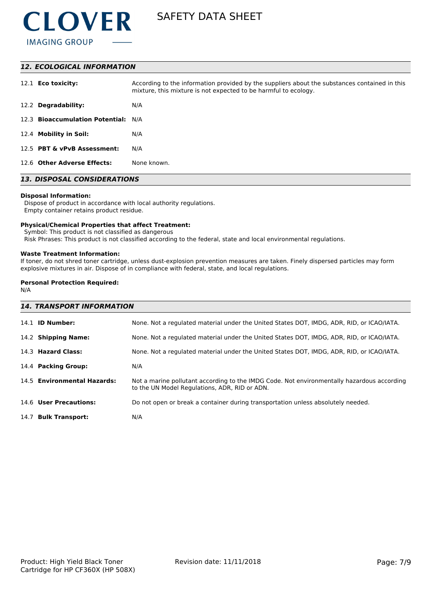

### *12. ECOLOGICAL INFORMATION*

| 12.1 <b>Eco toxicity:</b>           | According to the information provided by the suppliers about the substances contained in this<br>mixture, this mixture is not expected to be harmful to ecology. |
|-------------------------------------|------------------------------------------------------------------------------------------------------------------------------------------------------------------|
| 12.2 Degradability:                 | N/A                                                                                                                                                              |
| 12.3 Bioaccumulation Potential: N/A |                                                                                                                                                                  |
| 12.4 Mobility in Soil:              | N/A                                                                                                                                                              |
| 12.5 PBT & vPvB Assessment:         | N/A                                                                                                                                                              |
| 12.6 Other Adverse Effects:         | None known.                                                                                                                                                      |

# *13. DISPOSAL CONSIDERATIONS*

#### **Disposal Information:**

 Dispose of product in accordance with local authority regulations. Empty container retains product residue.

#### **Physical/Chemical Properties that affect Treatment:**

Symbol: This product is not classified as dangerous

Risk Phrases: This product is not classified according to the federal, state and local environmental regulations.

#### **Waste Treatment Information:**

If toner, do not shred toner cartridge, unless dust-explosion prevention measures are taken. Finely dispersed particles may form explosive mixtures in air. Dispose of in compliance with federal, state, and local regulations.

# **Personal Protection Required:**

N/A

| <b>14. TRANSPORT INFORMATION</b> |                                                                                                                                             |  |  |
|----------------------------------|---------------------------------------------------------------------------------------------------------------------------------------------|--|--|
| 14.1 <b>ID Number:</b>           | None. Not a regulated material under the United States DOT, IMDG, ADR, RID, or ICAO/IATA.                                                   |  |  |
| 14.2 Shipping Name:              | None. Not a regulated material under the United States DOT, IMDG, ADR, RID, or ICAO/IATA.                                                   |  |  |
| 14.3 Hazard Class:               | None. Not a regulated material under the United States DOT, IMDG, ADR, RID, or ICAO/IATA.                                                   |  |  |
| 14.4 Packing Group:              | N/A                                                                                                                                         |  |  |
| 14.5 Environmental Hazards:      | Not a marine pollutant according to the IMDG Code. Not environmentally hazardous according<br>to the UN Model Regulations, ADR, RID or ADN. |  |  |
| 14.6 User Precautions:           | Do not open or break a container during transportation unless absolutely needed.                                                            |  |  |
| 14.7 Bulk Transport:             | N/A                                                                                                                                         |  |  |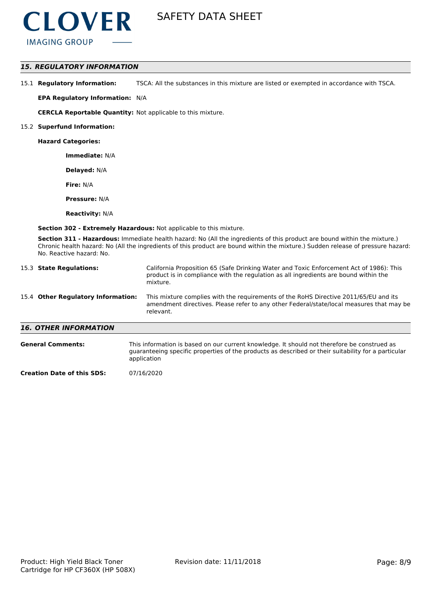

# *15. REGULATORY INFORMATION*

15.1 **Regulatory Information:** TSCA: All the substances in this mixture are listed or exempted in accordance with TSCA.

**EPA Regulatory Information:** N/A

**CERCLA Reportable Quantity:** Not applicable to this mixture.

#### 15.2 **Superfund Information:**

**Hazard Categories:**

**Immediate:** N/A

**Delayed:** N/A

**Fire:** N/A

**Pressure:** N/A

**Reactivity:** N/A

**Section 302 - Extremely Hazardous:** Not applicable to this mixture.

**Section 311 - Hazardous:** Immediate health hazard: No (All the ingredients of this product are bound within the mixture.) Chronic health hazard: No (All the ingredients of this product are bound within the mixture.) Sudden release of pressure hazard: No. Reactive hazard: No.

| 15.3 State Regulations:            | California Proposition 65 (Safe Drinking Water and Toxic Enforcement Act of 1986): This<br>product is in compliance with the regulation as all ingredients are bound within the<br>mixture.   |
|------------------------------------|-----------------------------------------------------------------------------------------------------------------------------------------------------------------------------------------------|
| 15.4 Other Regulatory Information: | This mixture complies with the requirements of the RoHS Directive 2011/65/EU and its<br>amendment directives. Please refer to any other Federal/state/local measures that may be<br>relevant. |
| <b>16. OTHER INFORMATION</b>       |                                                                                                                                                                                               |
| <b>General Comments:</b>           | This information is based on our current knowledge. It should not therefore be construed as                                                                                                   |

guaranteeing specific properties of the products as described or their suitability for a particular application

**Creation Date of this SDS:** 07/16/2020